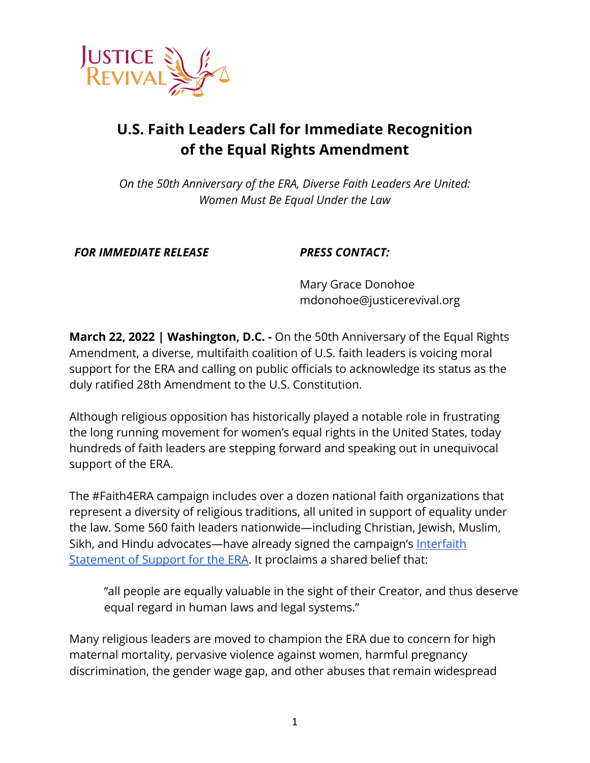

## **U.S. Faith Leaders Call for Immediate Recognition of the Equal Rights Amendment**

*On the 50th Anniversary of the ERA, Diverse Faith Leaders Are United: Women Must Be Equal Under the Law*

*FOR IMMEDIATE RELEASE PRESS CONTACT:*

Mary Grace Donohoe mdonohoe@justicerevival.org

**March 22, 2022 | Washington, D.C. -** On the 50th Anniversary of the Equal Rights Amendment, a diverse, multifaith coalition of U.S. faith leaders is voicing moral support for the ERA and calling on public officials to acknowledge its status as the duly ratified 28th Amendment to the U.S. Constitution.

Although religious opposition has historically played a notable role in frustrating the long running movement for women's equal rights in the United States, today hundreds of faith leaders are stepping forward and speaking out in unequivocal support of the ERA.

The #Faith4ERA campaign includes over a dozen national faith organizations that represent a diversity of religious traditions, all united in support of equality under the law. Some 560 faith leaders nationwide—including Christian, Jewish, Muslim, Sikh, and Hindu advocates—have already signed the campaign's [Interfaith](https://justicerevival.org/support-the-era/) [Statement of Support for the ERA](https://justicerevival.org/support-the-era/). It proclaims a shared belief that:

"all people are equally valuable in the sight of their Creator, and thus deserve equal regard in human laws and legal systems."

Many religious leaders are moved to champion the ERA due to concern for high maternal mortality, pervasive violence against women, harmful pregnancy discrimination, the gender wage gap, and other abuses that remain widespread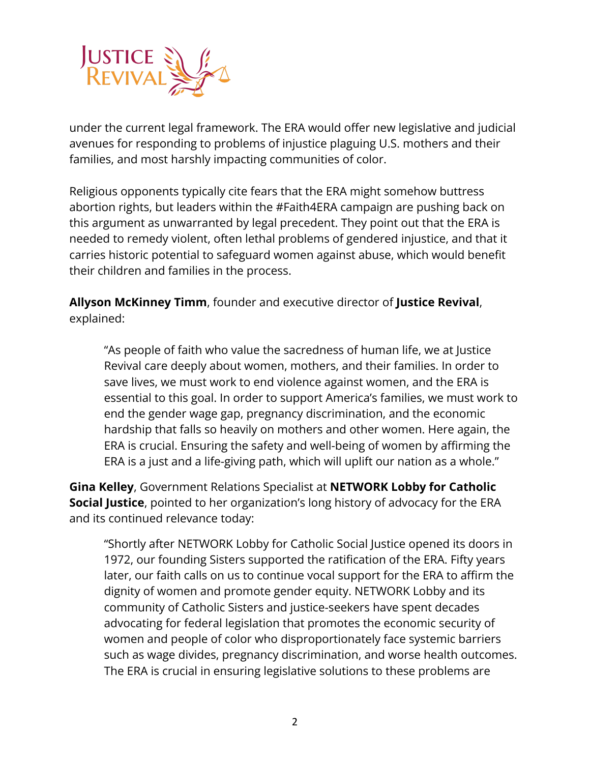

under the current legal framework. The ERA would offer new legislative and judicial avenues for responding to problems of injustice plaguing U.S. mothers and their families, and most harshly impacting communities of color.

Religious opponents typically cite fears that the ERA might somehow buttress abortion rights, but leaders within the #Faith4ERA campaign are pushing back on this argument as unwarranted by legal precedent. They point out that the ERA is needed to remedy violent, often lethal problems of gendered injustice, and that it carries historic potential to safeguard women against abuse, which would benefit their children and families in the process.

**Allyson McKinney Timm**, founder and executive director of **Justice Revival**, explained:

"As people of faith who value the sacredness of human life, we at Justice Revival care deeply about women, mothers, and their families. In order to save lives, we must work to end violence against women, and the ERA is essential to this goal. In order to support America's families, we must work to end the gender wage gap, pregnancy discrimination, and the economic hardship that falls so heavily on mothers and other women. Here again, the ERA is crucial. Ensuring the safety and well-being of women by affirming the ERA is a just and a life-giving path, which will uplift our nation as a whole."

**Gina Kelley**, Government Relations Specialist at **NETWORK Lobby for Catholic Social Justice**, pointed to her organization's long history of advocacy for the ERA and its continued relevance today:

"Shortly after NETWORK Lobby for Catholic Social Justice opened its doors in 1972, our founding Sisters supported the ratification of the ERA. Fifty years later, our faith calls on us to continue vocal support for the ERA to affirm the dignity of women and promote gender equity. NETWORK Lobby and its community of Catholic Sisters and justice-seekers have spent decades advocating for federal legislation that promotes the economic security of women and people of color who disproportionately face systemic barriers such as wage divides, pregnancy discrimination, and worse health outcomes. The ERA is crucial in ensuring legislative solutions to these problems are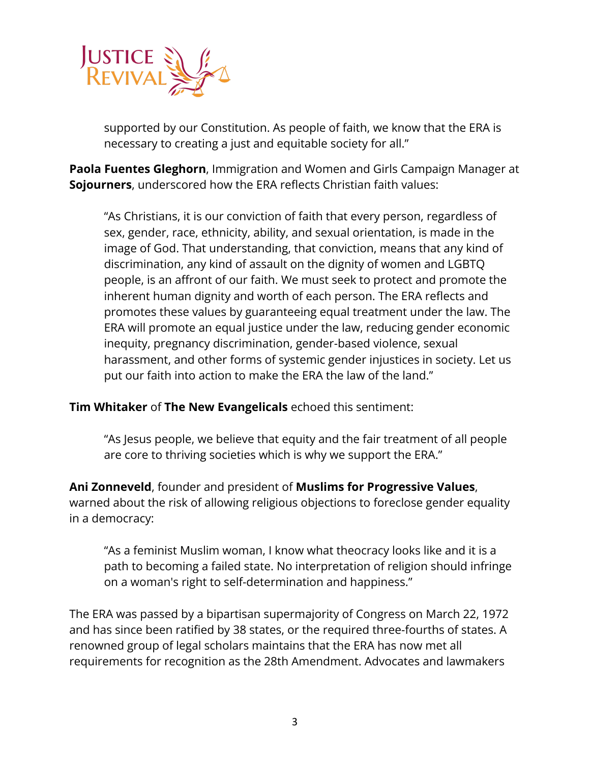

supported by our Constitution. As people of faith, we know that the ERA is necessary to creating a just and equitable society for all."

**Paola Fuentes Gleghorn**, Immigration and Women and Girls Campaign Manager at **Sojourners**, underscored how the ERA reflects Christian faith values:

"As Christians, it is our conviction of faith that every person, regardless of sex, gender, race, ethnicity, ability, and sexual orientation, is made in the image of God. That understanding, that conviction, means that any kind of discrimination, any kind of assault on the dignity of women and LGBTQ people, is an affront of our faith. We must seek to protect and promote the inherent human dignity and worth of each person. The ERA reflects and promotes these values by guaranteeing equal treatment under the law. The ERA will promote an equal justice under the law, reducing gender economic inequity, pregnancy discrimination, gender-based violence, sexual harassment, and other forms of systemic gender injustices in society. Let us put our faith into action to make the ERA the law of the land."

**Tim Whitaker** of **The New Evangelicals** echoed this sentiment:

"As Jesus people, we believe that equity and the fair treatment of all people are core to thriving societies which is why we support the ERA."

**Ani Zonneveld**, founder and president of **Muslims for Progressive Values**, warned about the risk of allowing religious objections to foreclose gender equality in a democracy:

"As a feminist Muslim woman, I know what theocracy looks like and it is a path to becoming a failed state. No interpretation of religion should infringe on a woman's right to self-determination and happiness."

The ERA was passed by a bipartisan supermajority of Congress on March 22, 1972 and has since been ratified by 38 states, or the required three-fourths of states. A renowned group of legal scholars maintains that the ERA has now met all requirements for recognition as the 28th Amendment. Advocates and lawmakers